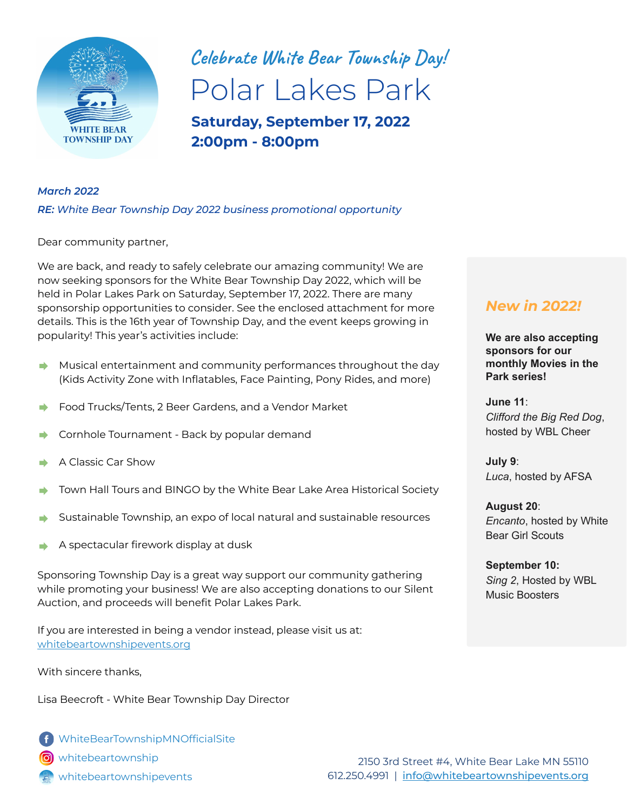

# **Celebrate White Bear Township Day!** Polar Lakes Park

**Saturday, September 17, 2022 2:00pm - 8:00pm**

#### *March 2022*

*RE: White Bear Township Day 2022 business promotional opportunity*

Dear community partner,

We are back, and ready to safely celebrate our amazing community! We are now seeking sponsors for the White Bear Township Day 2022, which will be held in Polar Lakes Park on Saturday, September 17, 2022. There are many sponsorship opportunities to consider. See the enclosed attachment for more details. This is the 16th year of Township Day, and the event keeps growing in popularity! This year's activities include:

- Musical entertainment and community performances throughout the day  $\rightarrow$ (Kids Activity Zone with Inflatables, Face Painting, Pony Rides, and more)
- Food Trucks/Tents, 2 Beer Gardens, and a Vendor Market
- Cornhole Tournament Back by popular demand
- A Classic Car Show
- Town Hall Tours and BINGO by the White Bear Lake Area Historical Society
- Sustainable Township, an expo of local natural and sustainable resources
- A spectacular firework display at dusk

Sponsoring Township Day is a great way support our community gathering while promoting your business! We are also accepting donations to our Silent Auction, and proceeds will benefit Polar Lakes Park.

If you are interested in being a vendor instead, please visit us at: [whitebeartownshipevents.org](https://whitebeartownshipevents.org)

With sincere thanks,

Lisa Beecroft - White Bear Township Day Director

[WhiteBearTownshipMNOfficialSite](https://www.facebook.com/WhiteBearTownshipMNOfficialSite) [whitebeartownship](https://www.instagram.com/whitebeartownship/) [whitebeartownshipevents](https://whitebeartownshipevents.org)

### *New in 2022!*

**We are also accepting sponsors for our monthly Movies in the Park series!**

**June 11**: *Clifford the Big Red Dog*, hosted by WBL Cheer

**July 9**: *Luca*, hosted by AFSA

**August 20**: *Encanto*, hosted by White Bear Girl Scouts

**September 10:**  *Sing 2*, Hosted by WBL Music Boosters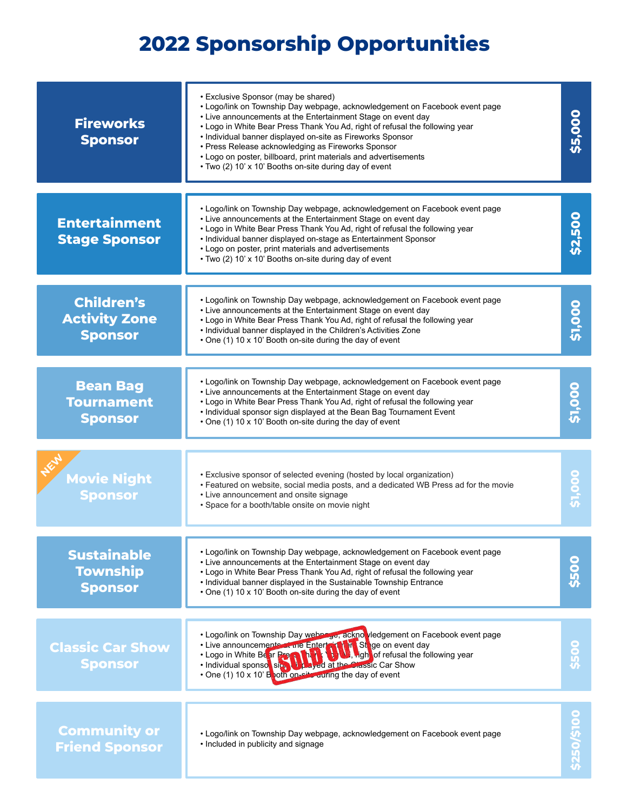## **2022 Sponsorship Opportunities**

| <b>Fireworks</b><br><b>Sponsor</b>                          | • Exclusive Sponsor (may be shared)<br>• Logo/link on Township Day webpage, acknowledgement on Facebook event page<br>\$5,000<br>• Live announcements at the Entertainment Stage on event day<br>. Logo in White Bear Press Thank You Ad, right of refusal the following year<br>• Individual banner displayed on-site as Fireworks Sponsor<br>• Press Release acknowledging as Fireworks Sponsor<br>• Logo on poster, billboard, print materials and advertisements<br>• Two (2) 10' x 10' Booths on-site during day of event |              |  |
|-------------------------------------------------------------|--------------------------------------------------------------------------------------------------------------------------------------------------------------------------------------------------------------------------------------------------------------------------------------------------------------------------------------------------------------------------------------------------------------------------------------------------------------------------------------------------------------------------------|--------------|--|
| <b>Entertainment</b><br><b>Stage Sponsor</b>                | • Logo/link on Township Day webpage, acknowledgement on Facebook event page<br>• Live announcements at the Entertainment Stage on event day<br>. Logo in White Bear Press Thank You Ad, right of refusal the following year<br>• Individual banner displayed on-stage as Entertainment Sponsor<br>• Logo on poster, print materials and advertisements<br>• Two (2) 10' x 10' Booths on-site during day of event                                                                                                               | \$2,500      |  |
| <b>Children's</b><br><b>Activity Zone</b><br><b>Sponsor</b> | . Logo/link on Township Day webpage, acknowledgement on Facebook event page<br>• Live announcements at the Entertainment Stage on event day<br>. Logo in White Bear Press Thank You Ad, right of refusal the following year<br>. Individual banner displayed in the Children's Activities Zone<br>• One (1) 10 x 10' Booth on-site during the day of event                                                                                                                                                                     | \$1,000      |  |
| <b>Bean Bag</b><br><b>Tournament</b><br><b>Sponsor</b>      | . Logo/link on Township Day webpage, acknowledgement on Facebook event page<br>• Live announcements at the Entertainment Stage on event day<br>. Logo in White Bear Press Thank You Ad, right of refusal the following year<br>• Individual sponsor sign displayed at the Bean Bag Tournament Event<br>• One (1) 10 x 10' Booth on-site during the day of event                                                                                                                                                                | <b>00015</b> |  |
| <b>Movie Night</b><br><b>Sponsor</b>                        | • Exclusive sponsor of selected evening (hosted by local organization)<br>. Featured on website, social media posts, and a dedicated WB Press ad for the movie<br>• Live announcement and onsite signage<br>• Space for a booth/table onsite on movie night                                                                                                                                                                                                                                                                    | \$1,000      |  |
| <b>Sustainable</b><br><b>Township</b><br><b>Sponsor</b>     | . Logo/link on Township Day webpage, acknowledgement on Facebook event page<br>• Live announcements at the Entertainment Stage on event day<br>. Logo in White Bear Press Thank You Ad, right of refusal the following year<br>• Individual banner displayed in the Sustainable Township Entrance<br>• One (1) 10 x 10' Booth on-site during the day of event                                                                                                                                                                  | \$500        |  |
| <b>Classic Car Show</b><br><b>Sponsor</b>                   | . Logo/link on Township Day webpage, acknowledgement on Facebook event page<br>• Live announcements at the Enter of Live on event day<br>• Logo in White Be ar Press, the Live of the Anglo of refusal the foll<br>. Logo in White Be ar Press that<br>, high of refusal the following year<br>. Individual sponsor signal proved at the Classic Car Show<br>• One (1) 10 x 10' B poth on-site during the day of event                                                                                                         | \$500        |  |
| <b>Community or</b><br><b>Friend Sponsor</b>                | . Logo/link on Township Day webpage, acknowledgement on Facebook event page<br>• Included in publicity and signage                                                                                                                                                                                                                                                                                                                                                                                                             | \$250/\$100  |  |